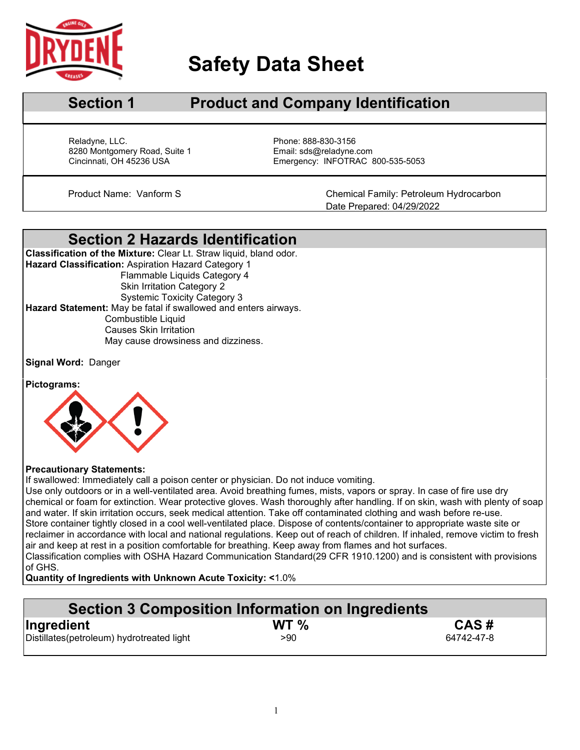

 $\overline{a}$ 

# **Safety Data Sheet**

## **Section 1 Product and Company Identification**

Reladyne, LLC.<br>
8280 Montgomery Road, Suite 1 entitled by Phone: 888-830-3156<br>
Email: sds@reladyne.com 8280 Montgomery Road, Suite 1<br>Cincinnati, OH 45236 USA

Emergency: INFOTRAC 800-535-5053

Product Name: Vanform S Chemical Family: Petroleum Hydrocarbon Date Prepared: 04/29/2022

### **Section 2 Hazards Identification**

**Classification of the Mixture:** Clear Lt. Straw liquid, bland odor. **Hazard Classification:** Aspiration Hazard Category 1 Flammable Liquids Category 4 Skin Irritation Category 2 Systemic Toxicity Category 3 **Hazard Statement:** May be fatal if swallowed and enters airways. Combustible Liquid Causes Skin Irritation May cause drowsiness and dizziness.

**Signal Word:** Danger

**Pictograms:**



### **Precautionary Statements:**

If swallowed: Immediately call a poison center or physician. Do not induce vomiting.

Use only outdoors or in a well-ventilated area. Avoid breathing fumes, mists, vapors or spray. In case of fire use dry chemical or foam for extinction. Wear protective gloves. Wash thoroughly after handling. If on skin, wash with plenty of soap and water. If skin irritation occurs, seek medical attention. Take off contaminated clothing and wash before re-use. Store container tightly closed in a cool well-ventilated place. Dispose of contents/container to appropriate waste site or reclaimer in accordance with local and national regulations. Keep out of reach of children. If inhaled, remove victim to fresh air and keep at rest in a position comfortable for breathing. Keep away from flames and hot surfaces. Classification complies with OSHA Hazard Communication Standard(29 CFR 1910.1200) and is consistent with provisions of GHS.

**Quantity of Ingredients with Unknown Acute Toxicity: <**1.0%

| Section 3 Composition Information on Ingredients |         |            |  |  |
|--------------------------------------------------|---------|------------|--|--|
| Ingredient                                       | WT $\%$ | CAS#       |  |  |
| Distillates(petroleum) hydrotreated light        | >90     | 64742-47-8 |  |  |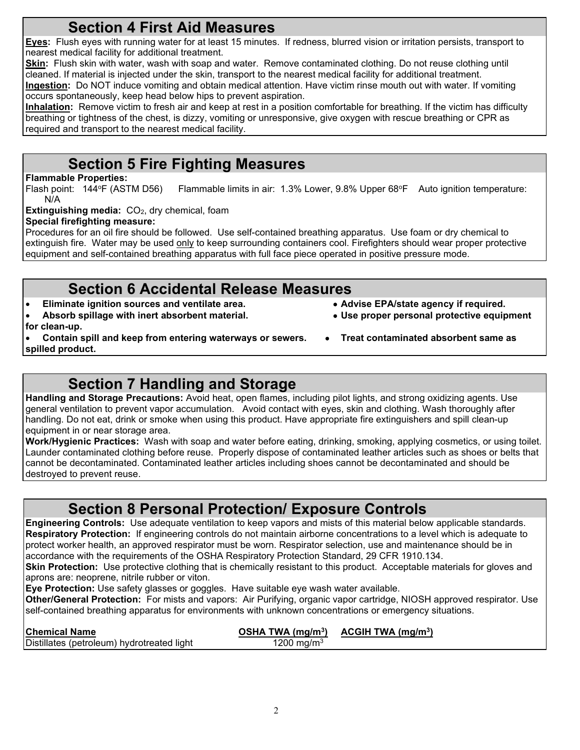## **Section 4 First Aid Measures**

**Eyes:** Flush eyes with running water for at least 15 minutes. If redness, blurred vision or irritation persists, transport to nearest medical facility for additional treatment.

**Skin:** Flush skin with water, wash with soap and water. Remove contaminated clothing. Do not reuse clothing until cleaned. If material is injected under the skin, transport to the nearest medical facility for additional treatment.

**Ingestion:** Do NOT induce vomiting and obtain medical attention. Have victim rinse mouth out with water. If vomiting occurs spontaneously, keep head below hips to prevent aspiration.

**Inhalation:** Remove victim to fresh air and keep at rest in a position comfortable for breathing. If the victim has difficulty breathing or tightness of the chest, is dizzy, vomiting or unresponsive, give oxygen with rescue breathing or CPR as required and transport to the nearest medical facility.

# **Section 5 Fire Fighting Measures**

**Flammable Properties:**<br>Flash point: 144°F (ASTM D56) Flammable limits in air: 1.3% Lower, 9.8% Upper 68°F Auto ignition temperature: N/A

**Extinguishing media:** CO<sub>2</sub>, dry chemical, foam

### **Special firefighting measure:**

Procedures for an oil fire should be followed. Use self-contained breathing apparatus. Use foam or dry chemical to extinguish fire. Water may be used only to keep surrounding containers cool. Firefighters should wear proper protective equipment and self-contained breathing apparatus with full face piece operated in positive pressure mode.

# **Section 6 Accidental Release Measures**<br> **Section** sources and ventilate area.<br>
• Advise EPA/state agency if required.

- Eliminate ignition sources and ventilate area.
- **Absorb spillage with inert absorbent material. Use proper personal protective equipment**
- **for clean-up.**

**spilled product.**

- 
- **Contain spill and keep from entering waterways or sewers. Treat contaminated absorbent same as** 
	-

# **Section 7 Handling and Storage**

**Handling and Storage Precautions:** Avoid heat, open flames, including pilot lights, and strong oxidizing agents. Use general ventilation to prevent vapor accumulation. Avoid contact with eyes, skin and clothing. Wash thoroughly after handling. Do not eat, drink or smoke when using this product. Have appropriate fire extinguishers and spill clean-up equipment in or near storage area.

**Work/Hygienic Practices:** Wash with soap and water before eating, drinking, smoking, applying cosmetics, or using toilet. Launder contaminated clothing before reuse. Properly dispose of contaminated leather articles such as shoes or belts that cannot be decontaminated. Contaminated leather articles including shoes cannot be decontaminated and should be destroyed to prevent reuse.

# **Section 8 Personal Protection/ Exposure Controls**

**Engineering Controls:** Use adequate ventilation to keep vapors and mists of this material below applicable standards. **Respiratory Protection:** If engineering controls do not maintain airborne concentrations to a level which is adequate to protect worker health, an approved respirator must be worn. Respirator selection, use and maintenance should be in accordance with the requirements of the OSHA Respiratory Protection Standard, 29 CFR 1910.134.

**Skin Protection:** Use protective clothing that is chemically resistant to this product. Acceptable materials for gloves and aprons are: neoprene, nitrile rubber or viton.

**Eye Protection:** Use safety glasses or goggles. Have suitable eye wash water available.

**Other/General Protection:** For mists and vapors: Air Purifying, organic vapor cartridge, NIOSH approved respirator. Use self-contained breathing apparatus for environments with unknown concentrations or emergency situations.

| <b>Chemical Name</b>                       |                        | OSHA TWA $(mq/m^3)$ ACGIH TWA $(mq/m^3)$ |
|--------------------------------------------|------------------------|------------------------------------------|
| Distillates (petroleum) hydrotreated light | 1200 mg/m <sup>3</sup> |                                          |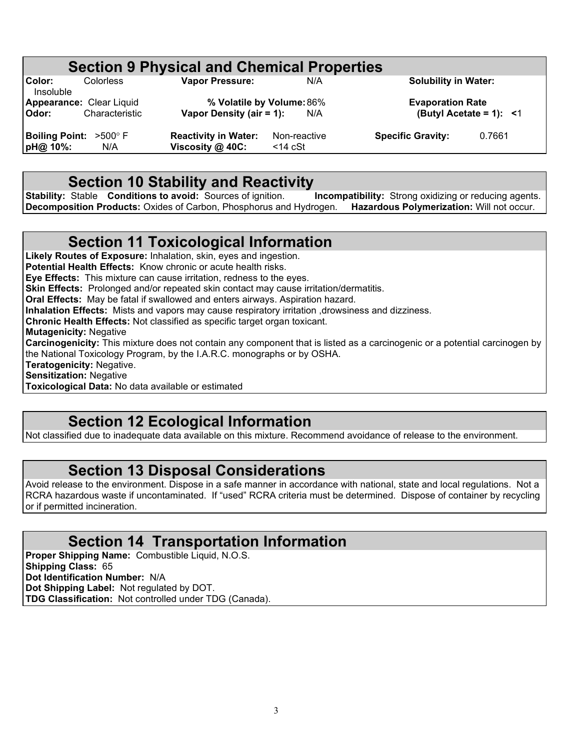# **Section 9 Physical and Chemical Properties**<br>
Vapor Pressure: N/A

**Color:** Colorless **Vapor Pressure:** N/A **Solubility in Water:** Insoluble **Appearance:** Clear Liquid **% Volatile by Volume:**86% **Evaporation Rate**

**Vapor Density (air = 1):** N/A

**Boiling Point:**  $>500^{\circ}$  F **Reactivity in Water:** Non-reactive **Specific Gravity:** 0.7661 **pH@ 10%:** N/A **Viscosity @ 40C:** <14 cSt

**pH@ 10%:** N/A **Viscosity @ 40C:** <14 cSt

### **Section 10 Stability and Reactivity**

**Stability:** Stable **Conditions to avoid:** Sources of ignition. **Incompatibility:** Strong oxidizing or reducing agents.<br>**Decomposition Products:** Oxides of Carbon, Phosphorus and Hydrogen. **Hazardous Polymerization:** Will **Decomposition Products: Oxides of Carbon, Phosphorus and Hydrogen.** 

### **Section 11 Toxicological Information**

**Likely Routes of Exposure:** Inhalation, skin, eyes and ingestion. **Potential Health Effects:** Know chronic or acute health risks. **Eye Effects:** This mixture can cause irritation, redness to the eyes. **Skin Effects:** Prolonged and/or repeated skin contact may cause irritation/dermatitis. **Oral Effects:** May be fatal if swallowed and enters airways. Aspiration hazard. **Inhalation Effects:** Mists and vapors may cause respiratory irritation ,drowsiness and dizziness. **Chronic Health Effects:** Not classified as specific target organ toxicant. **Mutagenicity:** Negative **Carcinogenicity:** This mixture does not contain any component that is listed as a carcinogenic or a potential carcinogen by the National Toxicology Program, by the I.A.R.C. monographs or by OSHA. **Teratogenicity:** Negative. **Sensitization:** Negative

**Toxicological Data:** No data available or estimated

### **Section 12 Ecological Information**

Not classified due to inadequate data available on this mixture. Recommend avoidance of release to the environment.

### **Section 13 Disposal Considerations**

Avoid release to the environment. Dispose in a safe manner in accordance with national, state and local regulations. Not a RCRA hazardous waste if uncontaminated. If "used" RCRA criteria must be determined. Dispose of container by recycling or if permitted incineration.

### **Section 14 Transportation Information**

**Proper Shipping Name:** Combustible Liquid, N.O.S. **Shipping Class:** 65 **Dot Identification Number:** N/A **Dot Shipping Label:** Not regulated by DOT. **TDG Classification:** Not controlled under TDG (Canada).